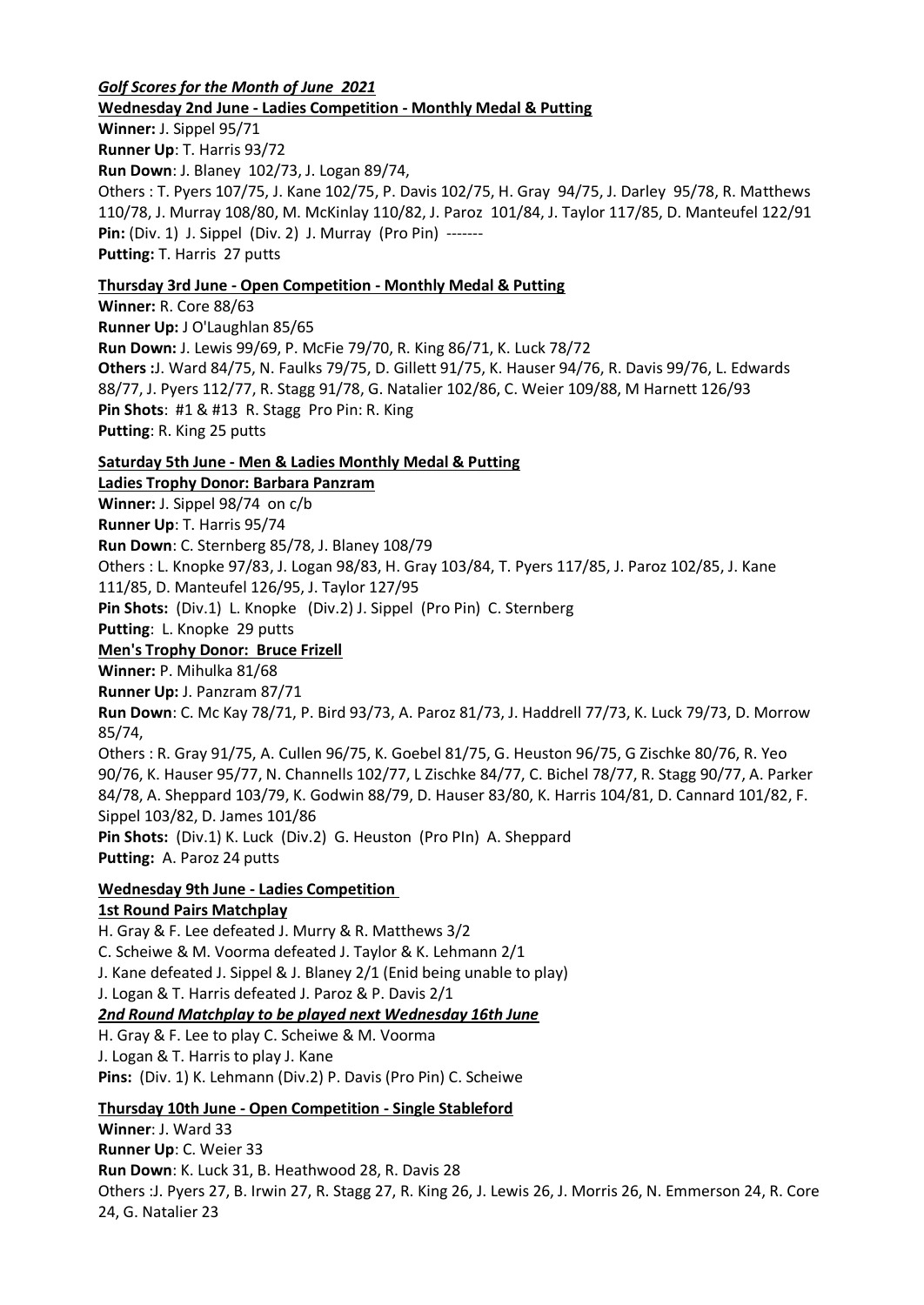### *Golf Scores for the Month of June 2021* **Wednesday 2nd June - Ladies Competition - Monthly Medal & Putting**

**Winner:** J. Sippel 95/71 **Runner Up**: T. Harris 93/72 **Run Down**: J. Blaney 102/73, J. Logan 89/74, Others : T. Pyers 107/75, J. Kane 102/75, P. Davis 102/75, H. Gray 94/75, J. Darley 95/78, R. Matthews 110/78, J. Murray 108/80, M. McKinlay 110/82, J. Paroz 101/84, J. Taylor 117/85, D. Manteufel 122/91 **Pin:** (Div. 1) J. Sippel (Div. 2) J. Murray (Pro Pin) ------- **Putting:** T. Harris 27 putts

# **Thursday 3rd June - Open Competition - Monthly Medal & Putting**

**Winner:** R. Core 88/63 **Runner Up:** J O'Laughlan 85/65 **Run Down:** J. Lewis 99/69, P. McFie 79/70, R. King 86/71, K. Luck 78/72 **Others :**J. Ward 84/75, N. Faulks 79/75, D. Gillett 91/75, K. Hauser 94/76, R. Davis 99/76, L. Edwards 88/77, J. Pyers 112/77, R. Stagg 91/78, G. Natalier 102/86, C. Weier 109/88, M Harnett 126/93 **Pin Shots**: #1 & #13 R. Stagg Pro Pin: R. King **Putting**: R. King 25 putts

# **Saturday 5th June - Men & Ladies Monthly Medal & Putting**

**Ladies Trophy Donor: Barbara Panzram Winner:** J. Sippel 98/74 on c/b **Runner Up**: T. Harris 95/74 **Run Down**: C. Sternberg 85/78, J. Blaney 108/79 Others : L. Knopke 97/83, J. Logan 98/83, H. Gray 103/84, T. Pyers 117/85, J. Paroz 102/85, J. Kane 111/85, D. Manteufel 126/95, J. Taylor 127/95 **Pin Shots:** (Div.1) L. Knopke (Div.2) J. Sippel (Pro Pin) C. Sternberg **Putting**: L. Knopke 29 putts **Men's Trophy Donor: Bruce Frizell Winner:** P. Mihulka 81/68 **Runner Up:** J. Panzram 87/71 **Run Down**: C. Mc Kay 78/71, P. Bird 93/73, A. Paroz 81/73, J. Haddrell 77/73, K. Luck 79/73, D. Morrow 85/74, Others : R. Gray 91/75, A. Cullen 96/75, K. Goebel 81/75, G. Heuston 96/75, G Zischke 80/76, R. Yeo 90/76, K. Hauser 95/77, N. Channells 102/77, L Zischke 84/77, C. Bichel 78/77, R. Stagg 90/77, A. Parker 84/78, A. Sheppard 103/79, K. Godwin 88/79, D. Hauser 83/80, K. Harris 104/81, D. Cannard 101/82, F. Sippel 103/82, D. James 101/86

**Pin Shots:** (Div.1) K. Luck (Div.2) G. Heuston (Pro PIn) A. Sheppard **Putting:** A. Paroz 24 putts

#### **Wednesday 9th June - Ladies Competition 1st Round Pairs Matchplay**

H. Gray & F. Lee defeated J. Murry & R. Matthews 3/2 C. Scheiwe & M. Voorma defeated J. Taylor & K. Lehmann 2/1 J. Kane defeated J. Sippel & J. Blaney 2/1 (Enid being unable to play) J. Logan & T. Harris defeated J. Paroz & P. Davis 2/1 *2nd Round Matchplay to be played next Wednesday 16th June* H. Gray & F. Lee to play C. Scheiwe & M. Voorma

J. Logan & T. Harris to play J. Kane **Pins:** (Div. 1) K. Lehmann (Div.2) P. Davis (Pro Pin) C. Scheiwe

**Thursday 10th June - Open Competition - Single Stableford**

**Winner**: J. Ward 33 **Runner Up**: C. Weier 33 **Run Down**: K. Luck 31, B. Heathwood 28, R. Davis 28 Others :J. Pyers 27, B. Irwin 27, R. Stagg 27, R. King 26, J. Lewis 26, J. Morris 26, N. Emmerson 24, R. Core 24, G. Natalier 23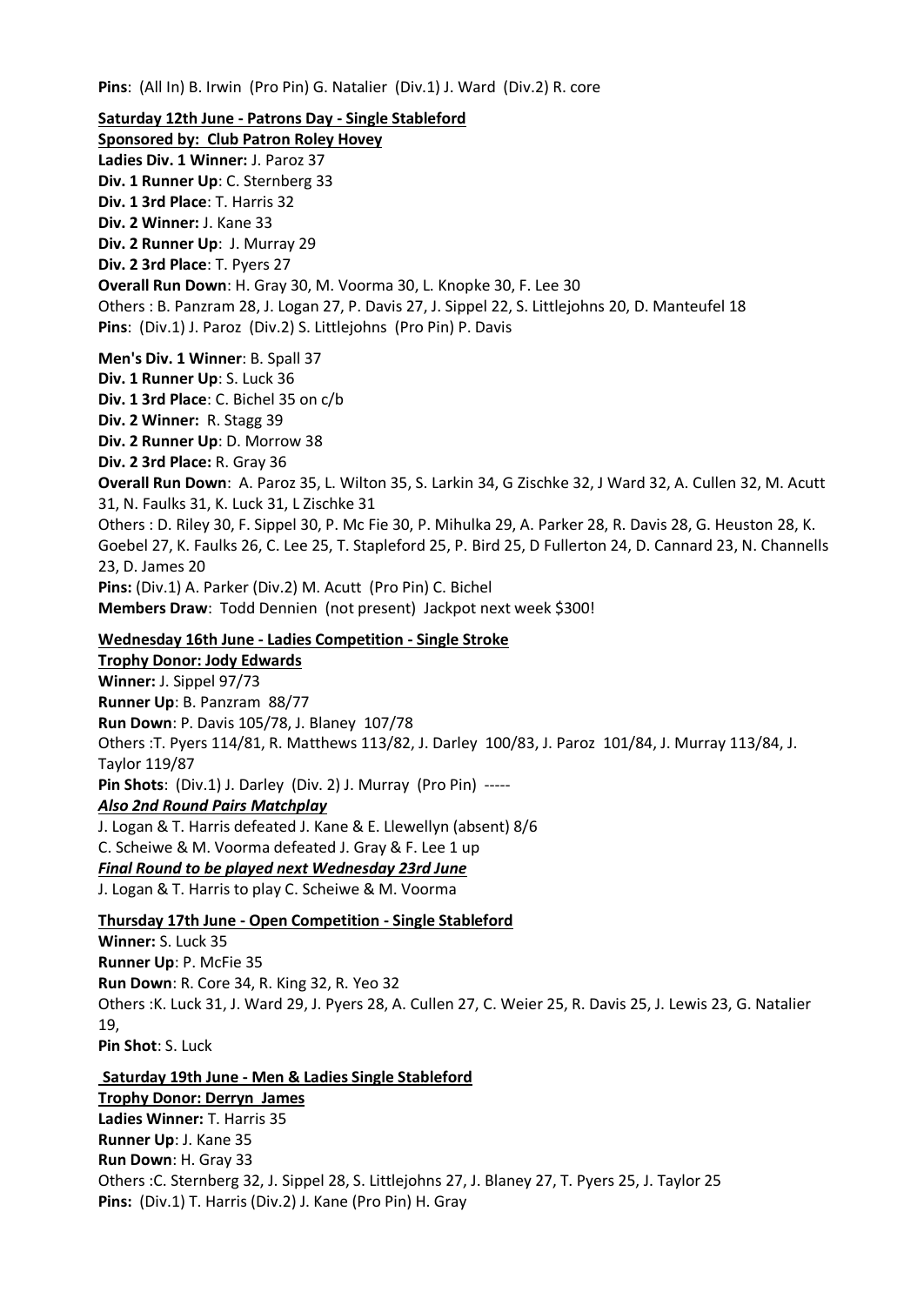**Pins**: (All In) B. Irwin (Pro Pin) G. Natalier (Div.1) J. Ward (Div.2) R. core

**Saturday 12th June - Patrons Day - Single Stableford Sponsored by: Club Patron Roley Hovey Ladies Div. 1 Winner:** J. Paroz 37 **Div. 1 Runner Up**: C. Sternberg 33 **Div. 1 3rd Place**: T. Harris 32 **Div. 2 Winner:** J. Kane 33 **Div. 2 Runner Up**: J. Murray 29 **Div. 2 3rd Place**: T. Pyers 27 **Overall Run Down**: H. Gray 30, M. Voorma 30, L. Knopke 30, F. Lee 30 Others : B. Panzram 28, J. Logan 27, P. Davis 27, J. Sippel 22, S. Littlejohns 20, D. Manteufel 18 **Pins**: (Div.1) J. Paroz (Div.2) S. Littlejohns (Pro Pin) P. Davis **Men's Div. 1 Winner**: B. Spall 37 **Div. 1 Runner Up**: S. Luck 36 **Div. 1 3rd Place**: C. Bichel 35 on c/b **Div. 2 Winner:** R. Stagg 39 **Div. 2 Runner Up**: D. Morrow 38 **Div. 2 3rd Place:** R. Gray 36 **Overall Run Down**: A. Paroz 35, L. Wilton 35, S. Larkin 34, G Zischke 32, J Ward 32, A. Cullen 32, M. Acutt 31, N. Faulks 31, K. Luck 31, L Zischke 31 Others : D. Riley 30, F. Sippel 30, P. Mc Fie 30, P. Mihulka 29, A. Parker 28, R. Davis 28, G. Heuston 28, K. Goebel 27, K. Faulks 26, C. Lee 25, T. Stapleford 25, P. Bird 25, D Fullerton 24, D. Cannard 23, N. Channells 23, D. James 20 **Pins:** (Div.1) A. Parker (Div.2) M. Acutt (Pro Pin) C. Bichel **Members Draw**: Todd Dennien (not present) Jackpot next week \$300! **Wednesday 16th June - Ladies Competition - Single Stroke Trophy Donor: Jody Edwards Winner:** J. Sippel 97/73 **Runner Up**: B. Panzram 88/77

**Run Down**: P. Davis 105/78, J. Blaney 107/78 Others :T. Pyers 114/81, R. Matthews 113/82, J. Darley 100/83, J. Paroz 101/84, J. Murray 113/84, J. Taylor 119/87 **Pin Shots**: (Div.1) J. Darley (Div. 2) J. Murray (Pro Pin) ----- *Also 2nd Round Pairs Matchplay* J. Logan & T. Harris defeated J. Kane & E. Llewellyn (absent) 8/6 C. Scheiwe & M. Voorma defeated J. Gray & F. Lee 1 up

*Final Round to be played next Wednesday 23rd June*

J. Logan & T. Harris to play C. Scheiwe & M. Voorma

**Thursday 17th June - Open Competition - Single Stableford**

**Winner:** S. Luck 35 **Runner Up**: P. McFie 35 **Run Down**: R. Core 34, R. King 32, R. Yeo 32 Others :K. Luck 31, J. Ward 29, J. Pyers 28, A. Cullen 27, C. Weier 25, R. Davis 25, J. Lewis 23, G. Natalier 19, **Pin Shot**: S. Luck

**Saturday 19th June - Men & Ladies Single Stableford Trophy Donor: Derryn James Ladies Winner:** T. Harris 35 **Runner Up**: J. Kane 35 **Run Down**: H. Gray 33 Others :C. Sternberg 32, J. Sippel 28, S. Littlejohns 27, J. Blaney 27, T. Pyers 25, J. Taylor 25 **Pins:** (Div.1) T. Harris (Div.2) J. Kane (Pro Pin) H. Gray